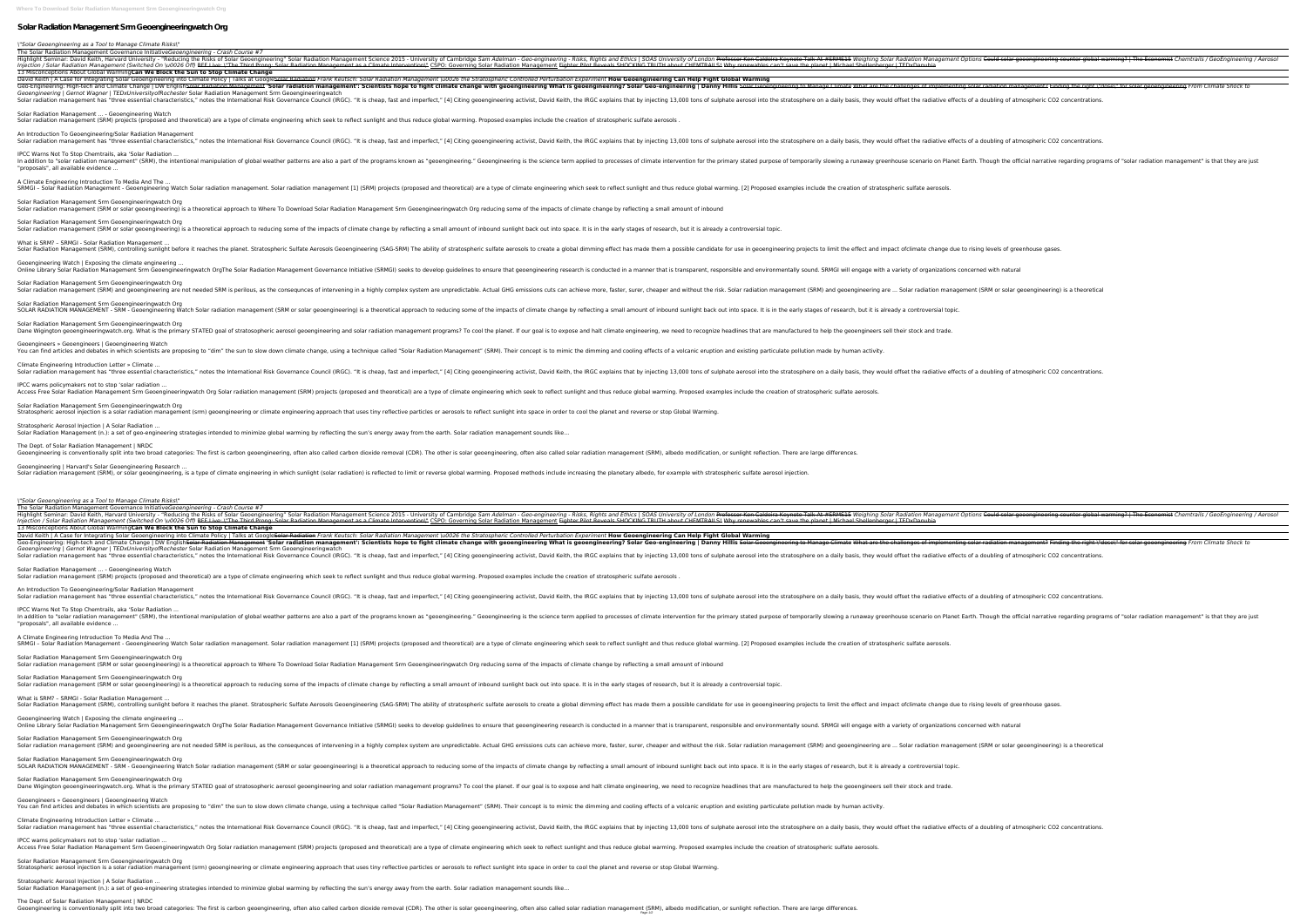**Where To Download Solar Radiation Management Srm Geoengineeringwatch Org**

## **Solar Radiation Management Srm Geoengineeringwatch Org**

### *\"Solar Geoengineering as a Tool to Manage Climate Risks\"*

The Solar Radiation Management Governance Initiative*Geoengineering - Crash Course #7* Bavid Keith, Harvard University - "Reducing the Risks of Solar Geoengineering" Solar Radiation Management Options Could solar geoengineering counter global warming? | The Economist Chemtrails / GeoEngineering / Aerosol Hig Injection / Solar Radiation Management (Switched On \u0026 Off) RFF Live: \"The Third Prong: Solar Radiation Management as a Climate Intervention\" CSPO: Governing Solar Radiation Management as a Climate Intervention\" CSP 13 Misconceptions About Global Warming**Can We Block the Sun to Stop Climate Change** David Keith | A Case for Integrating Solar Geoengineering into Climate Policy | Talks at GoogleSolar Radiation Frank Keutsch: Solar Radiation Management \u0026 the Stratospheric Controlled Perturbation Experiment **How Geoe** Geo-Engineering: High-tech and Climate Change | DW English<del>Solar Radiation Management</del> 'Solar radiation management': Scientists hope to fight climate change with geoengineering to Manage-Climate what are the challenges of *Geoengineering | Gernot Wagner | TEDxUniversityofRochester* Solar Radiation Management Srm Geoengineeringwatch Solar radiation management has "three essential characteristics," notes the International Risk Governance Council (IRGC). "It is cheap, fast and imperfect," [4] Citing geoengineering activist, David Keith, the IRGC explain Solar Radiation Management ... - Geoengineering Watch Solar radiation management (SRM) projects (proposed and theoretical) are a type of climate engineering which seek to reflect sunlight and thus reduce global warming. Proposed examples include the creation of stratospheric An Introduction To Geoengineering/Solar Radiation Management Solar radiation management has "three essential characteristics," notes the International Risk Governance Council (IRGC). "It is cheap, fast and imperfect," [4] Citing geoengineering activist, David Keith, the IRGC explain IPCC Warns Not To Stop Chemtrails, aka 'Solar Radiation ... In addition to "solar radiation management" (SRM), the intentional manipulation of global weather patterns are also a part of the programs known as "geoengineering." Geoengineering is the science term applied to processes "proposals", all available evidence ... A Climate Engineering Introduction To Media And The ... SRMGI – Solar Radiation Management - Geoengineering Watch Solar radiation management. Solar radiation management [1] (SRM) projects (proposed and theoretical) are a type of climate engineering which seek to reflect sunligh Solar Radiation Management Srm Geoengineeringwatch Org Solar radiation management (SRM or solar geoengineering) is a theoretical approach to Where To Download Solar Radiation Management Srm Geoengineeringwatch Org reducing some of the impacts of climate change by reflecting a Solar Radiation Management Srm Geoengineeringwatch Org Solar radiation management (SRM or solar geoengineering) is a theoretical approach to reducing some of the impacts of climate change by reflecting a small amount of inbound sunlight back out into space. It is in the early What is SRM? – SRMGI - Solar Radiation Management ... Solar Radiation Management (SRM), controlling sunlight before it reaches the planet. Stratospheric Sulfate Aerosols Geoengineering projects to limit the effect and impact ofclimate change due to rising levels of greenhouse Geoengineering Watch | Exposing the climate engineering ... Online Library Solar Radiation Management Srm Geoengineeringwatch OrgThe Solar Radiation Management Governance Initiative (SRMGI) seeks to develop guidelines to ensure that is transparent, responsible and environmentally s Solar Radiation Management Srm Geoengineeringwatch Org Solar radiation management (SRM) and geoengineering are not needed SRM is perilous, as the consequnces of intervening in a highly complex system are unpredictable. Actual GHG emissions cuts can achieve more, faster, surer, Solar Radiation Management Srm Geoengineeringwatch Org SOLAR RADIATION MANAGEMENT - SRM - Geoengineering Watch Solar radiation management (SRM or solar geoengineering) is a theoretical approach to reducing some of the impacts of climate change by reflecting a small amount of i Solar Radiation Management Srm Geoengineeringwatch Org Dane Wigington geoengineeringwatch.org. What is the primary STATED goal of stratosopheric aerosol geoengineering and solar radiation management programs? To cool the planet. If our goal is to expose and halt climate engine Geoengineers » Geoengineers | Geoengineering Watch You can find articles and debates in which scientists are proposing to "dim" the sun to slow down climate change, using a technique called "Solar Radiation Management" (SRM). Their concept is to mimic the dimming and cooli Climate Engineering Introduction Letter » Climate ... Solar radiation management has "three essential characteristics," notes the International Risk Governance Council (IRGC). "It is cheap, fast and imperfect," [4] Citing geoengineering activist, David Keith, the IRGC explain IPCC warns policymakers not to stop 'solar radiation ... Access Free Solar Radiation Management Srm Geoengineeringwatch Org Solar radiation management (SRM) projects (proposed and theoretical) are a type of climate engineering which seek to reflect sunlight and thus reduce globa Solar Radiation Management Srm Geoengineeringwatch Org Stratospheric aerosol injection is a solar radiation management (srm) geoengineering or climate engineering approach that uses tiny reflective particles or aerosols to reflect sunlight into space in order to cool the plane Stratospheric Aerosol Injection | A Solar Radiation ... Solar Radiation Management (n.): a set of geo-engineering strategies intended to minimize global warming by reflecting the sun's energy away from the earth. Solar radiation management sounds like...

The Solar Radiation Management Governance Initiative*Geoengineering - Crash Course #7* 13 Misconceptions About Global Warming**Can We Block the Sun to Stop Climate Change** David Keith | A Case for Integrating Solar Geoengineering into Climate Policy | Talks at GoogleSolar Radiation Frank Keutsch: Solar Radiation Management \u0026 the Stratospheric Controlled Perturbation Experiment How Geoen

The Dept. of Solar Radiation Management | NRDC

Geoengineering is conventionally split into two broad categories: The first is carbon geoengineering, often also called carbon dioxide removal (CDR). The other is solar radiation management (SRM), albedo modification, or s Geoengineering | Harvard's Solar Geoengineering Research ... Solar radiation management (SRM), or solar geoengineering, is a type of climate engineering in which sunlight (solar radiation) is reflected to limit or reverse global warming. Proposed methods include increasing the plane

The Dept. of Solar Radiation Management | NRDC age what carbon disconventionally split into two broad categories: The first is carbon geoengineering, often also called carbon dioxide removal (CDR). The other is solar radiation management (SRM), albedo modification, or

# Injection / Solar Radiation Management (Switched On \u0026 Off) RFF Live: \"The Third Prong: Solar Radiation Management as a Climate Intervention\" CSPO: Governing Solar Radiation Management Fighter Pilot Reveals SHOCKING

Highlight Seminar: David Keith, Harvard University - "Reducing the Risks of Solar Geoengineering" Solar Geoengineering Solar Radiation Management Options Could solar geoengineering counter global warming? | The Economist C

*\"Solar Geoengineering as a Tool to Manage Climate Risks\"*

An Introduction To Geoengineering/Solar Radiation Management IPCC Warns Not To Stop Chemtrails, aka 'Solar Radiation ... A Climate Engineering Introduction To Media And The ... Solar Radiation Management Srm Geoengineeringwatch Org Solar radiation management (SRM or solar geoengineering) is a theoretical approach to reducing some of the impacts of climate change by reflecting a small amount of inbound sunlight back out into space. It is in the early Geoengineering Watch | Exposing the climate engineering ... Solar Radiation Management Srm Geoengineeringwatch Org Solar radiation management (SRM) and geoengineering are not needed SRM is perilous, as the consequnces of intervening in a highly complex system are ... Solar radiation management (SRM) and geoengineering are ... Solar rad Solar Radiation Management Srm Geoengineeringwatch Org SOLAR RADIATION MANAGEMENT - SRM - Geoengineering Watch Solar radiation management (SRM or solar geoengineering) is a theoretical approach to reducing some of the impacts of climate change by reflecting some of the impacts Geoengineers » Geoengineers | Geoengineering Watch You can find articles and debates in which scientists are proposing to "dim" the sun to slow down climate change, using a technique called "Solar Radiation Management" (SRM). Their concept is to mimic the dimming and cooli Climate Engineering Introduction Letter » Climate ... Solar radiation management has "three essential characteristics," notes the International Risk Governance Council (IRGC). "It is cheap, fast and imperfect," [4] Citing geoengineering activist, David Keith, the IRGC explain IPCC warns policymakers not to stop 'solar radiation ... Solar Radiation Management Srm Geoengineeringwatch Org Stratospheric aerosol injection is a solar radiation management (srm) geoengineering or climate engineering approach that uses tiny reflective particles or aerosols to reflect sunlight into space in order to cool the plane Stratospheric Aerosol Injection | A Solar Radiation ... Solar Radiation Management (n.): a set of geo-engineering strategies intended to minimize global warming by reflecting the sun's energy away from the earth. Solar radiation management sounds like...

Geo-Engineering: High-tech and Climate Change | DW EnglishSolar Radiation Management 'Solar radiation management': Scientists hope to fight climate what are the challenges of implementing solar Geoengineering What is geoen *Geoengineering | Gernot Wagner | TEDxUniversityofRochester* Solar Radiation Management Srm Geoengineeringwatch Solar radiation management has "three essential characteristics," notes the International Risk Governance Council (IRGC). "It is cheap, fast and imperfect," [4] Citing geoengineering activist, David Keith, the IRGC explain Solar Radiation Management ... - Geoengineering Watch Solar radiation management (SRM) projects (proposed and theoretical) are a type of climate engineering which seek to reflect sunlight and thus reduce global warming. Proposed examples include the creation of stratospheric Solar radiation management has "three essential characteristics," notes the International Risk Governance Council (IRGC). "It is cheap, fast and imperfect," [4] Citing geoengineering activist, David Keith, the IRGC explain In addition to "solar radiation management" (SRM), the intentional manipulation of global weather patterns are also a part of the programs known as "geoengineering." Geoengineering is the science term applied to processes "proposals", all available evidence ... SRMGI - Solar Radiation Management - Geoengineering Watch Solar radiation management. Solar radiation management [1] (SRM) projects (proposed and theoretical) are a type of climate engineering which seek to reflect sunligh Solar Radiation Management Srm Geoengineeringwatch Org Solar radiation management (SRM or solar geoengineering) is a theoretical approach to Where To Download Solar Radiation Management Srm Geoengineeringwatch Org reducing some of the impacts of climate change by reflecting a What is SRM? - SRMGI - Solar Radiation Management. Solar Radiation Management (SRM), controlling sunlight before it reaches the planet. Stratospheric Sulfate Aerosols Geoengineering projects to limit the effect and impact ofclimate change due to rising levels of greenhouse Online Library Solar Radiation Management Srm Geoengineeringwatch OrgThe Solar Radiation Management Governance Initiative (SRMGI) seeks to develop guidelines to ensure that is transparent, responsible and environmentally s Solar Radiation Management Srm Geoengineeringwatch Org Dane Wigington geoengineeringwatch.org. What is the primary STATED goal of stratosopheric aerosol geoengineering and solar radiation management programs? To cool the planet. If our goal is to expose and halt climate engine Access Free Solar Radiation Management Srm Geoengineeringwatch Org Solar radiation management (SRM) projects (proposed and theoretical) are a type of climate engineering which seek to reflect sunlight and thus reduce globa